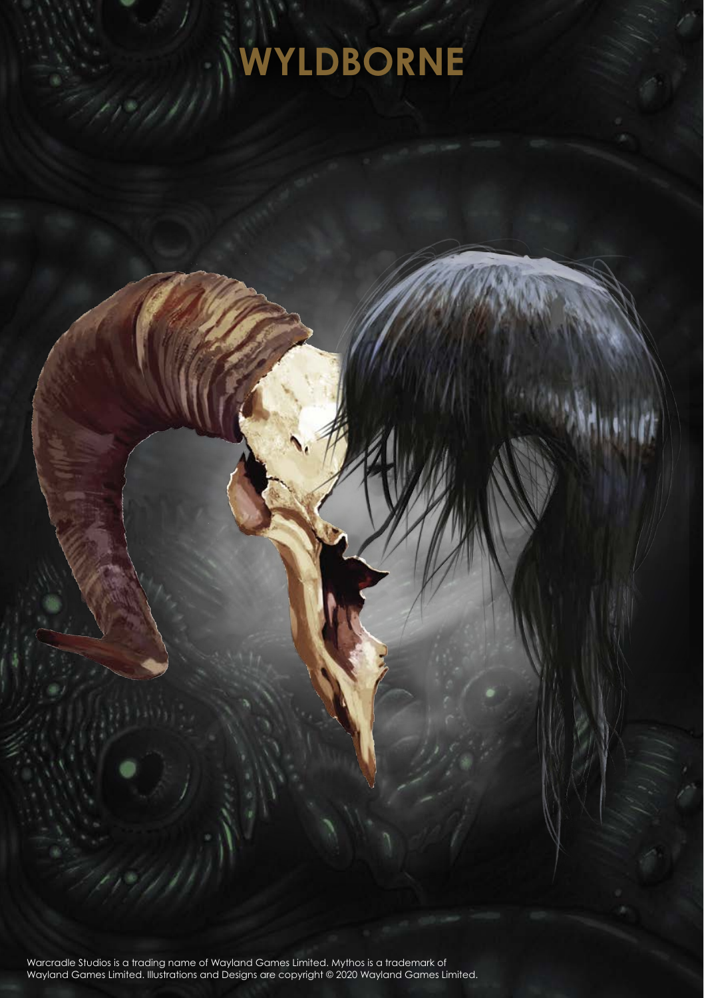## **WYLDBORNE**

Warcradle Studios is a trading name of Wayland Games Limited. Mythos is a trademark of Wayland Games Limited. Illustrations and Designs are copyright © 2020 Wayland Games Limited.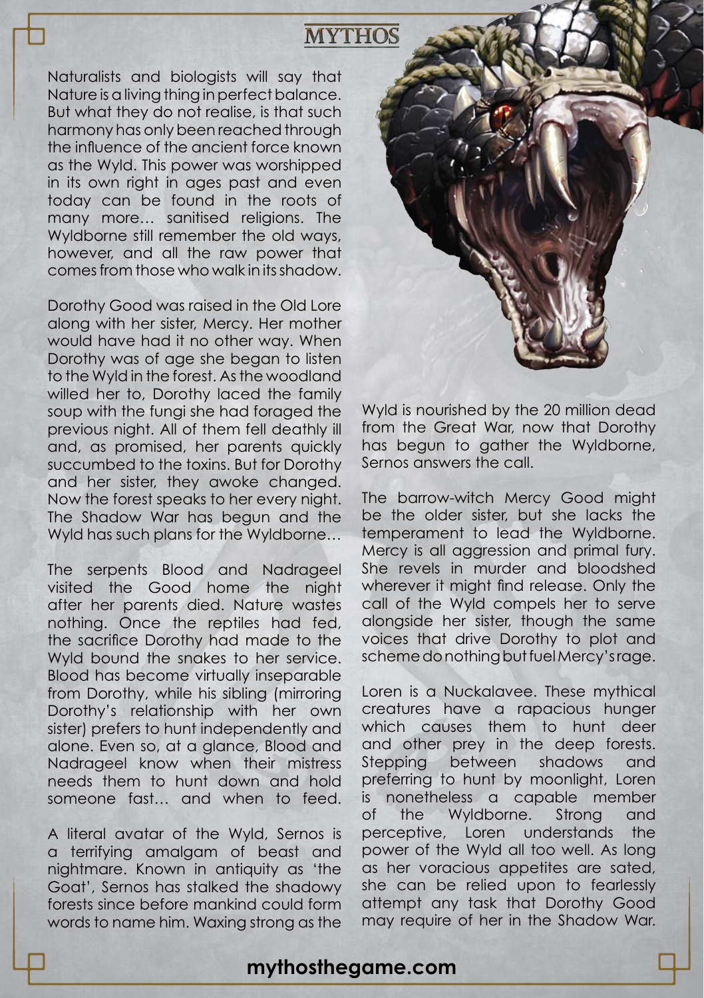## **MYTHOS**

Naturalists and biologists will say that Nature is a living thing in perfect balance. But what they do not realise, is that such harmony has only been reached through the influence of the ancient force known as the Wyld. This power was worshipped in its own right in ages past and even today can be found in the roots of many more… sanitised religions. The Wyldborne still remember the old ways, however, and all the raw power that comes from those who walk in its shadow.

Dorothy Good was raised in the Old Lore along with her sister, Mercy. Her mother would have had it no other way. When Dorothy was of age she began to listen to the Wyld in the forest. As the woodland willed her to, Dorothy laced the family soup with the fungi she had foraged the previous night. All of them fell deathly ill and, as promised, her parents quickly succumbed to the toxins. But for Dorothy and her sister, they awoke changed. Now the forest speaks to her every night. The Shadow War has begun and the Wyld has such plans for the Wyldborne…

The serpents Blood and Nadrageel visited the Good home the night after her parents died. Nature wastes nothing. Once the reptiles had fed, the sacrifice Dorothy had made to the Wyld bound the snakes to her service. Blood has become virtually inseparable from Dorothy, while his sibling (mirroring Dorothy's relationship with her own sister) prefers to hunt independently and alone. Even so, at a glance, Blood and Nadrageel know when their mistress needs them to hunt down and hold someone fast… and when to feed.

A literal avatar of the Wyld, Sernos is a terrifying amalgam of beast and nightmare. Known in antiquity as 'the Goat', Sernos has stalked the shadowy forests since before mankind could form words to name him. Waxing strong as the



Wyld is nourished by the 20 million dead from the Great War, now that Dorothy has begun to gather the Wyldborne, Sernos answers the call.

The barrow-witch Mercy Good might be the older sister, but she lacks the temperament to lead the Wyldborne. Mercy is all aggression and primal fury. She revels in murder and bloodshed wherever it might find release. Only the call of the Wyld compels her to serve alongside her sister, though the same voices that drive Dorothy to plot and scheme do nothing but fuel Mercy's rage.

Loren is a Nuckalavee. These mythical creatures have a rapacious hunger which causes them to hunt deer and other prey in the deep forests. Stepping between shadows and preferring to hunt by moonlight, Loren is nonetheless a capable member of the Wyldborne. Strong and perceptive, Loren understands the power of the Wyld all too well. As long as her voracious appetites are sated, she can be relied upon to fearlessly attempt any task that Dorothy Good may require of her in the Shadow War.

## **mythosthegame.com**